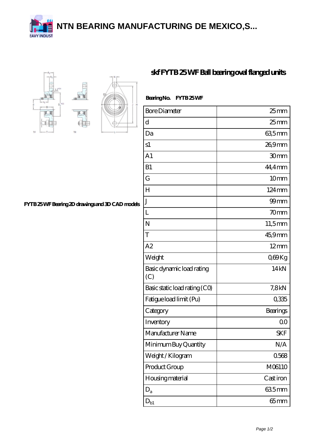**[NTN BEARING MANUFACTURING DE MEXICO,S...](https://m.unitednationalcerebralpalsylawyer.com)**







## **[skf FYTB 25 WF Ball bearing oval flanged units](https://m.unitednationalcerebralpalsylawyer.com/bh-64953338-skf-fytb-25-wf-ball-bearing-oval-flanged-units.html)**

| BearingNo.<br>FYTB25WF           |                     |
|----------------------------------|---------------------|
| <b>Bore Diameter</b>             | $25 \text{mm}$      |
| d                                | $25$ <sub>mm</sub>  |
| Da                               | 635mm               |
| s1                               | 26,9mm              |
| A <sub>1</sub>                   | 30mm                |
| B1                               | $44.4$ mm           |
| G                                | 10mm                |
| H                                | $124 \,\mathrm{mm}$ |
| $\mathbf{J}$                     | $99$ mm             |
| L                                | 70mm                |
| N                                | $11,5$ mm           |
| T                                | 45,9mm              |
| A2                               | $12 \text{mm}$      |
| Weight                           | Q69Kg               |
| Basic dynamic load rating<br>(C) | 14kN                |
| Basic static load rating (CO)    | 7,8kN               |
| Fatigue load limit (Pu)          | 0335                |
| Category                         | Bearings            |
| Inventory                        | 00                  |
| Manufacturer Name                | <b>SKF</b>          |
| Minimum Buy Quantity             | N/A                 |
| Weight / Kilogram                | 0568                |
| Product Group                    | M06110              |
| Housing material                 | Cast iron           |
| $D_{a}$                          | 635mm               |
| $\mathrm{D_{b1}}$                | $65$ mm             |

**[FYTB 25 WF Bearing 2D drawings and 3D CAD models](https://m.unitednationalcerebralpalsylawyer.com/pic-64953338.html)**